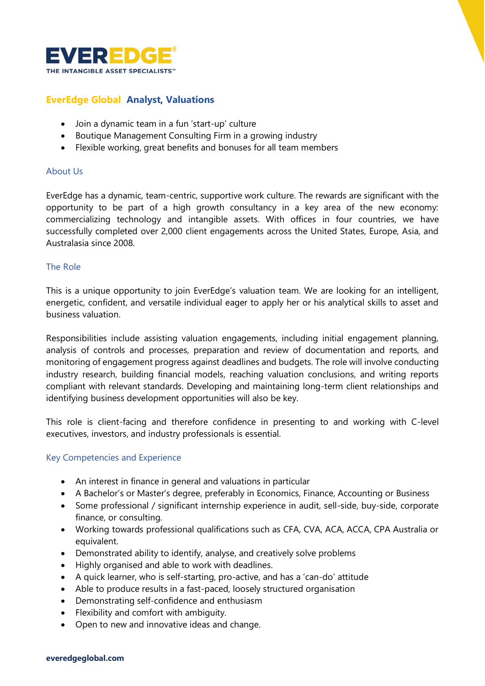

## **EverEdge Global Analyst, Valuations**

- Join a dynamic team in a fun 'start-up' culture
- Boutique Management Consulting Firm in a growing industry
- Flexible working, great benefits and bonuses for all team members

## About Us

EverEdge has a dynamic, team-centric, supportive work culture. The rewards are significant with the opportunity to be part of a high growth consultancy in a key area of the new economy: commercializing technology and intangible assets. With offices in four countries, we have successfully completed over 2,000 client engagements across the United States, Europe, Asia, and Australasia since 2008.

## The Role

This is a unique opportunity to join EverEdge's valuation team. We are looking for an intelligent, energetic, confident, and versatile individual eager to apply her or his analytical skills to asset and business valuation.

Responsibilities include assisting valuation engagements, including initial engagement planning, analysis of controls and processes, preparation and review of documentation and reports, and monitoring of engagement progress against deadlines and budgets. The role will involve conducting industry research, building financial models, reaching valuation conclusions, and writing reports compliant with relevant standards. Developing and maintaining long-term client relationships and identifying business development opportunities will also be key.

This role is client-facing and therefore confidence in presenting to and working with C-level executives, investors, and industry professionals is essential.

## Key Competencies and Experience

- An interest in finance in general and valuations in particular
- A Bachelor's or Master's degree, preferably in Economics, Finance, Accounting or Business
- Some professional / significant internship experience in audit, sell-side, buy-side, corporate finance, or consulting.
- Working towards professional qualifications such as CFA, CVA, ACA, ACCA, CPA Australia or equivalent.
- Demonstrated ability to identify, analyse, and creatively solve problems
- Highly organised and able to work with deadlines.
- A quick learner, who is self-starting, pro-active, and has a 'can-do' attitude
- Able to produce results in a fast-paced, loosely structured organisation
- Demonstrating self-confidence and enthusiasm
- Flexibility and comfort with ambiguity.
- Open to new and innovative ideas and change.